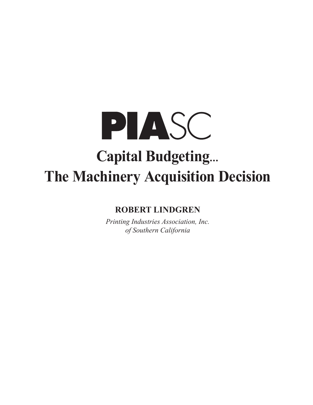

# **ROBERT LINDGREN**

*Printing Industries Association, Inc. of Southern California*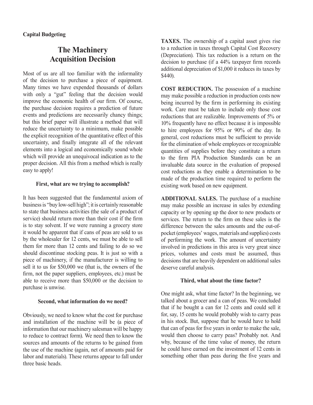# **Capital Budgeting**

# **The Machinery Acquisition Decision**

Most of us are all too familiar with the informality of the decision to purchase a piece of equipment. Many times we have expended thousands of dollars with only a "gut" feeling that the decision would improve the economic health of our firm. Of course, the purchase decision requires a prediction of future events and predictions are necessarily chancy things; but this brief paper will illustrate a method that will reduce the uncertainty to a minimum, make possible the explicit recognition of the quantitative effect of this uncertainty, and finally integrate all of the relevant elements into a logical and economically sound whole which will provide an unequivocal indication as to the proper decision. All this from a method which is really easy to apply!

# **First, what are we trying to accomplish?**

It has been suggested that the fundamental axiom of business is "buy low-sell high"; it is certainly reasonable to state that business activities (the sale of a product of service) should return more than their cost if the firm is to stay solvent. If we were running a grocery store it would be apparent that if cans of peas are sold to us by the wholesaler for 12 cents, we must be able to sell them for more than 12 cents and failing to do so we should discontinue stocking peas. It is just so with a piece of machinery, if the manufacturer is willing to sell it to us for \$50,000 we (that is, the owners of the firm, not the paper suppliers, employees, etc.) must be able to receive more than \$50,000 or the decision to purchase is unwise.

# **Second, what information do we need?**

Obviously, we need to know what the cost for purchase and installation of the machine will be (a piece of information that our machinery salesman will be happy to reduce to contract form). We need then to know the sources and amounts of the returns to be gained from the use of the machine (again, net of amounts paid for labor and materials). These returns appear to fall under three basic heads.

**TAXES.** The ownership of a capital asset gives rise to a reduction in taxes through Capital Cost Recovery (Depreciation). This tax reduction is a return on the decision to purchase (if a 44% taxpayer firm records additional depreciation of \$1,000 it reduces its taxes by \$440).

**COST REDUCTION.** The possession of a machine may make possible a reduction in production costs now being incurred by the firm in performing its existing work. Care must be taken to include only those cost reductions that are realizable. Improvements of 5% or 10% frequently have no effect because it is impossible to hire employees for 95% or 90% of the day. In general, cost reductions must be sufficient to provide for the elimination of whole employees or recognizable quantities of supplies before they constitute a return to the firm PIA Production Standards can be an invaluable data source in the evaluation of proposed cost reductions as they enable a determination to be made of the production time required to perform the existing work based on new equipment.

**ADDITIONAL SALES.** The purchase of a machine may make possible an increase in sales by extending capacity or by opening up the door to new products or services. The return to the firm on these sales is the difference between the sales amounts and the out-ofpocket (employees' wages, materials and supplies) costs of performing the work. The amount of uncertainty involved in predictions in this area is very great since prices, volumes and costs must be assumed, thus decisions that are heavily dependent on additional sales deserve careful analysis.

# **Third, what about the time factor?**

One might ask, what time factor? In the beginning, we talked about a grocer and a can of peas. We concluded that if he bought a can for 12 cents and could sell it for, say, 15 cents he would probably wish to carry peas in his stock. But, suppose that he would have to hold that can of peas for five years in order to make the sale, would then choose to carry peas? Probably not. And why, because of the time value of money, the return he could have earned on the investment of 12 cents in something other than peas during the five years and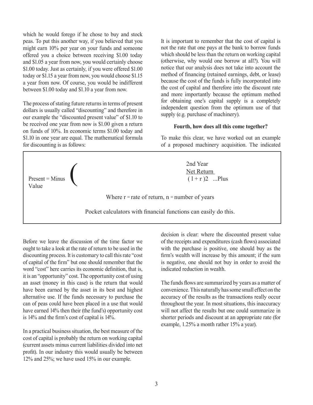which he would forego if he chose to buy and stock peas. To put this another way, if you believed that you might earn 10% per year on your funds and someone offered you a choice between receiving \$1.00 today and \$1.05 a year from now, you would certainly choose \$1.00 today. Just as certainly, if you were offered \$1.00 today or \$1.15 a year from now, you would choose \$1.15 a year from now. Of course, you would be indifferent between \$1.00 today and \$1.10 a year from now.

The process of stating future returns in terms of present dollars is usually called "discounting" and therefore in our example the "discounted present value" of \$1.10 to be received one year from now is \$1.00 given a return on funds of 10%. In economic terms \$1.00 today and \$1.10 in one year are equal. The mathematical formula for discounting is as follows:

It is important to remember that the cost of capital is not the rate that one pays at the bank to borrow funds which should be less than the return on working capital (otherwise, why would one borrow at all?). You will notice that our analysis does not take into account the method of financing (retained earnings, debt, or lease) because the cost of the funds is fully incorporated into the cost of capital and therefore into the discount rate and more importantly because the optimum method for obtaining one's capital supply is a completely independent question from the optimum use of that supply (e.g. purchase of machinery).

#### **Fourth, how does all this come together?**

To make this clear, we have worked out an example of a proposed machinery acquisition. The indicated



Before we leave the discussion of the time factor we ought to take a look at the rate of return to be used in the discounting process. It is customary to call this rate "cost of capital of the firm" but one should remember that the word "cost" here carries its economic definition, that is, it is an "opportunity" cost. The opportunity cost of using an asset (money in this case) is the return that would have been earned by the asset in its best and highest alternative use. If the funds necessary to purchase the can of peas could have been placed in a use that would have earned 14% then their (the fund's) opportunity cost is 14% and the firm's cost of capital is 14%.

In a practical business situation, the best measure of the cost of capital is probably the return on working capital (current assets minus current liabilities divided into net profit). In our industry this would usually be between 12% and 25%; we have used 15% in our example.

decision is clear: where the discounted present value of the receipts and expenditures (cash flows) associated with the purchase is positive, one should buy as the firm's wealth will increase by this amount; if the sum is negative, one should not buy in order to avoid the indicated reduction in wealth.

The funds flows are summarized by years as a matter of convenience. This naturally has some small effect on the accuracy of the results as the transactions really occur throughout the year. In most situations, this inaccuracy will not affect the results but one could summarize in shorter periods and discount at an appropriate rate (for example, 1.25% a month rather 15% a year).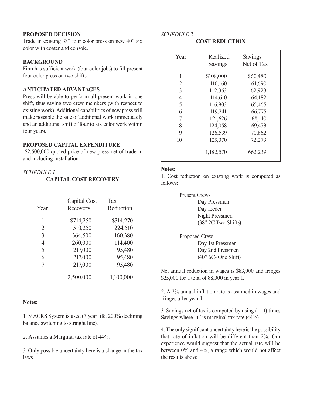#### **PROPOSED DECISION**

Trade in existing 38" four color press on new 40" six color with coater and console.

#### **BACKGROUND**

Finn has sufficient work (four color jobs) to fill present four color press on two shifts.

#### **ANTICIPATED ADVANTAGES**

Press will be able to perform all present work in one shift, thus saving two crew members (with respect to existing work). Additional capabilities of new press will make possible the sale of additional work immediately and an additional shift of four to six color work within four years.

# **PROPOSED CAPITAL EXPENDITURE**

\$2,500,000 quoted price of new press net of trade-in and including installation.

#### *SCHEDULE 1*

#### **CAPITAL COST RECOVERY**

| Year | Capital Cost<br>Recovery | Tax<br>Reduction |
|------|--------------------------|------------------|
| 1    | \$714,250                | \$314,270        |
| 2    | 510,250                  | 224,510          |
| 3    | 364,500                  | 160,380          |
| 4    | 260,000                  | 114,400          |
| 5    | 217,000                  | 95,480           |
| 6    | 217,000                  | 95,480           |
| 7    | 217,000                  | 95,480           |
|      | 2,500,000                | 1,100,000        |

#### **Notes:**

1. MACRS System is used (7 year life, 200% declining balance switching to straight line).

2. Assumes a Marginal tax rate of 44%.

3. Only possible uncertainty here is a change in the tax laws.

# *SCHEDULE 2*

#### **COST REDUCTION**

| Year           | Realized<br>Savings | Savings<br>Net of Tax |
|----------------|---------------------|-----------------------|
| 1              | \$108,000           | \$60,480              |
| 2              | 110,160             | 61,690                |
| 3              | 112,363             | 62,923                |
| $\overline{4}$ | 114,610             | 64,182                |
| 5              | 116,903             | 65,465                |
| 6              | 119,241             | 66,775                |
| 7              | 121,626             | 68,110                |
| 8              | 124,058             | 69,473                |
| 9              | 126,539             | 70,862                |
| 10             | 129,070             | 72,279                |
|                | 1,182,570           | 662,239               |

#### **Notes:**

1. Cost reduction on existing work is computed as follows:

> Present Crew-Day Pressmen Day feeder Night Pressmen (38" 2C-Two Shifts)

> Proposed Crew-Day 1st Pressmen Day 2nd Pressmen (40" 6C- One Shift)

Net annual reduction in wages is \$83,000 and fringes \$25,000 for a total of 88,000 in year 1.

2. A 2% annual inflation rate is assumed in wages and fringes after year 1.

3. Savings net of tax is computed by using (1 - t) times Savings where "t" is marginal tax rate  $(44\%)$ .

4. The only significant uncertainty here is the possibility that rate of inflation will be different than 2%. Our experience would suggest that the actual rate will be between 0% and 4%, a range which would not affect the results above.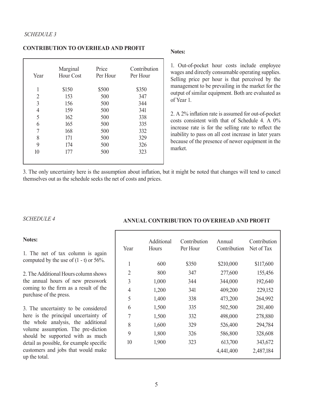#### **CONTRIBUTION TO OVERHEAD AND PROFIT**

| Year           | Marginal<br><b>Hour Cost</b> | Price<br>Per Hour | Contribution<br>Per Hour |
|----------------|------------------------------|-------------------|--------------------------|
| 1              | \$150                        | \$500             | \$350                    |
| 2              | 153                          | 500               | 347                      |
| 3              | 156                          | 500               | 344                      |
| $\overline{4}$ | 159                          | 500               | 341                      |
| 5              | 162                          | 500               | 338                      |
| 6              | 165                          | 500               | 335                      |
| 7              | 168                          | 500               | 332                      |
| 8              | 171                          | 500               | 329                      |
| 9              | 174                          | 500               | 326                      |
| 10             | 177                          | 500               | 323                      |
|                |                              |                   |                          |

#### **Notes:**

1. Out-of-pocket hour costs include employee wages and directly consumable operating supplies. Selling price per hour is that perceived by the management to be prevailing in the market for the output of similar equipment. Both are evaluated as of Year 1.

2. A 2% inflation rate is assumed for out-of-pocket costs consistent with that of Schedule 4. A 0% increase rate is for the selling rate to reflect the inability to pass on all cost increase in later years because of the presence of newer equipment in the market.

3. The only uncertainty here is the assumption about inflation, but it might be noted that changes will tend to cancel themselves out as the schedule seeks the net of costs and prices.

# *SCHEDULE 4*

#### **Notes:**

1. The net of tax column is again computed by the use of  $(1 - t)$  or 56%.

2. The Additional Hours column shows the annual hours of new presswork coming to the firm as a result of the purchase of the press.

3. The uncertainty to be considered here is the principal uncertainty of the whole analysis, the additional volume assumption. The pre-diction should be supported with as much detail as possible, for example specific customers and jobs that would make up the total.

# **ANNUAL CONTRIBUTION TO OVERHEAD AND PROFIT**

| Year           | Additional<br>Hours | Contribution<br>Per Hour | Annual<br>Contribution | Contribution<br>Net of Tax |
|----------------|---------------------|--------------------------|------------------------|----------------------------|
| 1              | 600                 | \$350                    | \$210,000              | \$117,600                  |
| $\overline{2}$ | 800                 | 347                      | 277,600                | 155,456                    |
| 3              | 1,000               | 344                      | 344,000                | 192,640                    |
| 4              | 1,200               | 341                      | 409,200                | 229,152                    |
| 5              | 1,400               | 338                      | 473,200                | 264,992                    |
| 6              | 1,500               | 335                      | 502,500                | 281,400                    |
| 7              | 1,500               | 332                      | 498,000                | 278,880                    |
| 8              | 1,600               | 329                      | 526,400                | 294,784                    |
| 9              | 1,800               | 326                      | 586,800                | 328,608                    |
| 10             | 1,900               | 323                      | 613,700                | 343,672                    |
|                |                     |                          | 4,441,400              | 2,487,184                  |